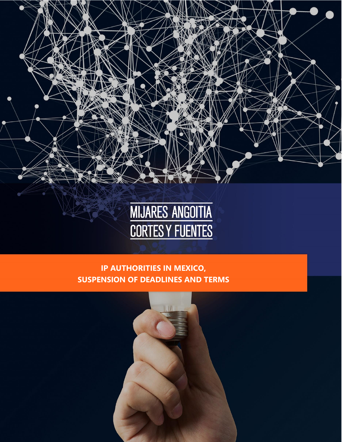



### **IP AUTHORITIES IN MEXICO, SUSPENSION OF DEADLINES AND TERMS**

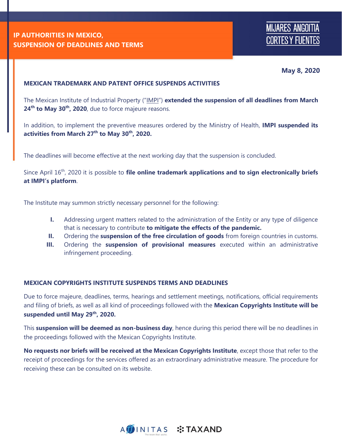**May 8, 2020**

#### **MEXICAN TRADEMARK AND PATENT OFFICE SUSPENDS ACTIVITIES**

The Mexican Institute of Industrial Property ("IMPI") **extended the suspension of all deadlines from March 24th to May 30th, 2020**, due to force majeure reasons.

In addition, to implement the preventive measures ordered by the Ministry of Health, **IMPI suspended its activities from March 27th to May 30th, 2020.**

The deadlines will become effective at the next working day that the suspension is concluded.

Since April 16th, 2020 it is possible to **file online trademark applications and to sign electronically briefs at IMPI's platform**.

The Institute may summon strictly necessary personnel for the following:

- **I.** Addressing urgent matters related to the administration of the Entity or any type of diligence that is necessary to contribute **to mitigate the effects of the pandemic.**
- **II.** Ordering the **suspension of the free circulation of goods** from foreign countries in customs.
- **III.** Ordering the **suspension of provisional measures** executed within an administrative infringement proceeding.

#### **MEXICAN COPYRIGHTS INSTITUTE SUSPENDS TERMS AND DEADLINES**

Due to force majeure, deadlines, terms, hearings and settlement meetings, notifications, official requirements and filing of briefs, as well as all kind of proceedings followed with the **Mexican Copyrights Institute will be suspended until May 29th, 2020.**

This **suspension will be deemed as non-business day**, hence during this period there will be no deadlines in the proceedings followed with the Mexican Copyrights Institute.

**No requests nor briefs will be received at the Mexican Copyrights Institute**, except those that refer to the receipt of proceedings for the services offered as an extraordinary administrative measure. The procedure for receiving these can be consulted on its website.

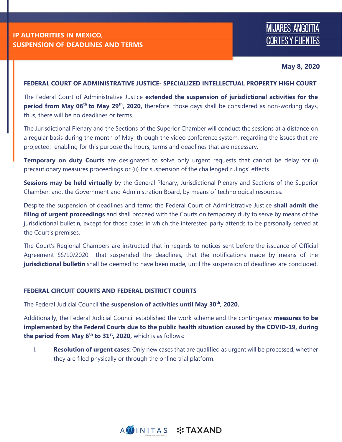# **MIJARES ANGOITIA CORTES Y FUENTES**

**May 8, 2020**

#### **FEDERAL COURT OF ADMINISTRATIVE JUSTICE- SPECIALIZED INTELLECTUAL PROPERTY HIGH COURT**

The Federal Court of Administrative Justice **extended the suspension of jurisdictional activities for the period from May 06th to May 29th, 2020,** therefore, those days shall be considered as non-working days, thus, there will be no deadlines or terms.

The Jurisdictional Plenary and the Sections of the Superior Chamber will conduct the sessions at a distance on a regular basis during the month of May, through the video conference system, regarding the issues that are projected; enabling for this purpose the hours, terms and deadlines that are necessary.

**Temporary on duty Courts** are designated to solve only urgent requests that cannot be delay for (i) precautionary measures proceedings or (ii) for suspension of the challenged rulings' effects.

**Sessions may be held virtually** by the General Plenary, Jurisdictional Plenary and Sections of the Superior Chamber; and, the Government and Administration Board, by means of technological resources.

Despite the suspension of deadlines and terms the Federal Court of Administrative Justice **shall admit the filing of urgent proceedings** and shall proceed with the Courts on temporary duty to serve by means of the jurisdictional bulletin, except for those cases in which the interested party attends to be personally served at the Court's premises.

The Court's Regional Chambers are instructed that in regards to notices sent before the issuance of Official Agreement SS/10/2020 that suspended the deadlines, that the notifications made by means of the **jurisdictional bulletin** shall be deemed to have been made, until the suspension of deadlines are concluded.

#### **FEDERAL CIRCUIT COURTS AND FEDERAL DISTRICT COURTS**

The Federal Judicial Council **the suspension of activities until May 30th, 2020.**

Additionally, the Federal Judicial Council established the work scheme and the contingency **measures to be implemented by the Federal Courts due to the public health situation caused by the COVID-19, during the period from May 6th to 31st, 2020,** which is as follows:

I. **Resolution of urgent cases:** Only new cases that are qualified as urgent will be processed, whether they are filed physically or through the online trial platform.